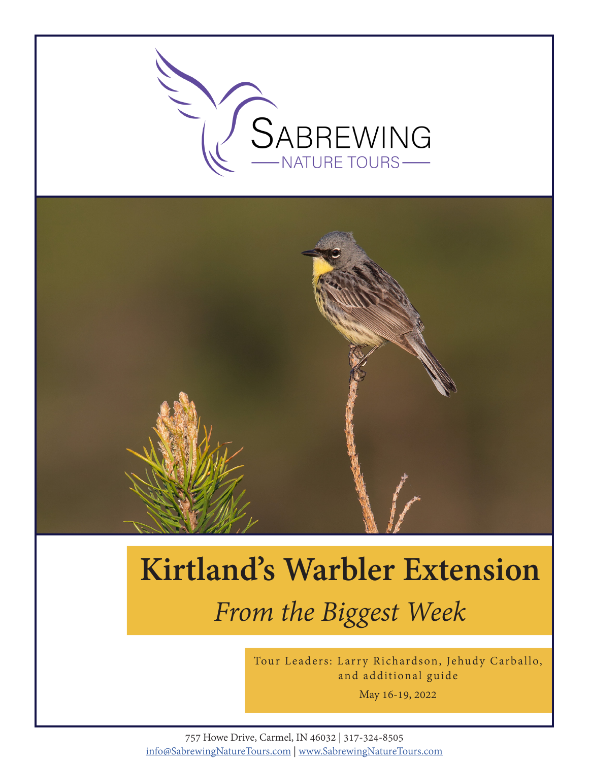

# **Kirtland's Warbler Extension** *From the Biggest Week*

Tour Leaders: Larry Richardson, Jehudy Carballo, and additional guide

May 16-19, 2022

757 Howe Drive, Carmel, IN 46032 | 317-324-8505 info@SabrewingNatureTours.com | www.SabrewingNatureTours.com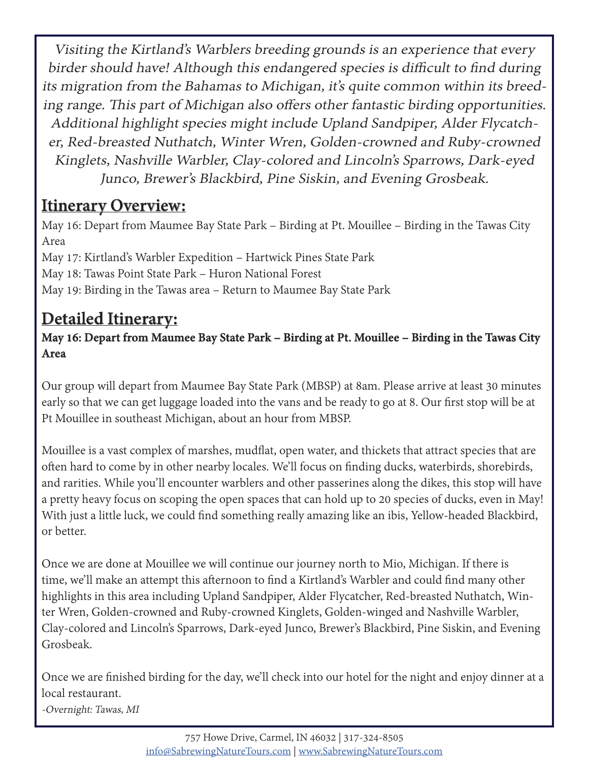Visiting the Kirtland's Warblers breeding grounds is an experience that every birder should have! Although this endangered species is difficult to find during its migration from the Bahamas to Michigan, it's quite common within its breeding range. This part of Michigan also offers other fantastic birding opportunities. Additional highlight species might include Upland Sandpiper, Alder Flycatcher, Red-breasted Nuthatch, Winter Wren, Golden-crowned and Ruby-crowned Kinglets, Nashville Warbler, Clay-colored and Lincoln's Sparrows, Dark-eyed Junco, Brewer's Blackbird, Pine Siskin, and Evening Grosbeak.

# **Itinerary Overview:**

May 16: Depart from Maumee Bay State Park – Birding at Pt. Mouillee – Birding in the Tawas City Area May 17: Kirtland's Warbler Expedition – Hartwick Pines State Park May 18: Tawas Point State Park – Huron National Forest May 19: Birding in the Tawas area – Return to Maumee Bay State Park

# **Detailed Itinerary:**

### **May 16: Depart from Maumee Bay State Park – Birding at Pt. Mouillee – Birding in the Tawas City Area**

Our group will depart from Maumee Bay State Park (MBSP) at 8am. Please arrive at least 30 minutes early so that we can get luggage loaded into the vans and be ready to go at 8. Our first stop will be at Pt Mouillee in southeast Michigan, about an hour from MBSP.

Mouillee is a vast complex of marshes, mudflat, open water, and thickets that attract species that are often hard to come by in other nearby locales. We'll focus on finding ducks, waterbirds, shorebirds, and rarities. While you'll encounter warblers and other passerines along the dikes, this stop will have a pretty heavy focus on scoping the open spaces that can hold up to 20 species of ducks, even in May! With just a little luck, we could find something really amazing like an ibis, Yellow-headed Blackbird, or better.

Once we are done at Mouillee we will continue our journey north to Mio, Michigan. If there is time, we'll make an attempt this afternoon to find a Kirtland's Warbler and could find many other highlights in this area including Upland Sandpiper, Alder Flycatcher, Red-breasted Nuthatch, Winter Wren, Golden-crowned and Ruby-crowned Kinglets, Golden-winged and Nashville Warbler, Clay-colored and Lincoln's Sparrows, Dark-eyed Junco, Brewer's Blackbird, Pine Siskin, and Evening Grosbeak.

Once we are finished birding for the day, we'll check into our hotel for the night and enjoy dinner at a local restaurant.

-Overnight: Tawas, MI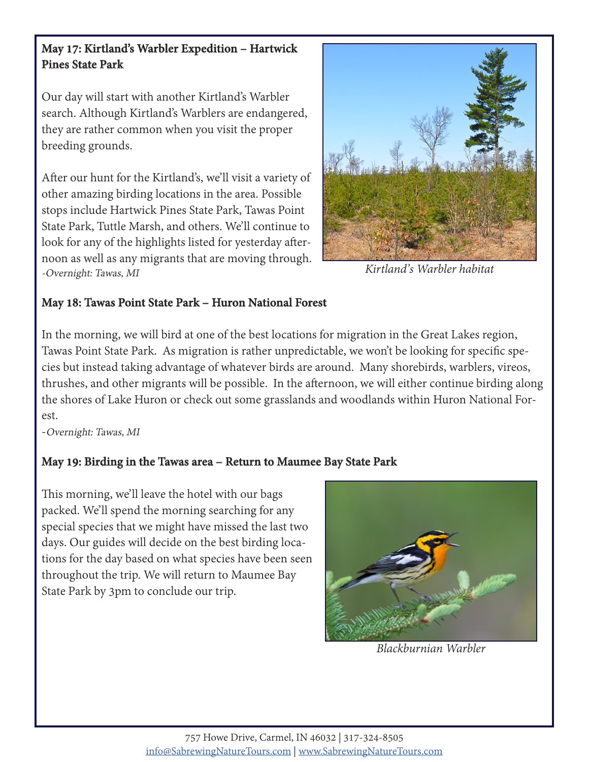#### **May 17: Kirtland's Warbler Expedition – Hartwick Pines State Park**

Our day will start with another Kirtland's Warbler search. Although Kirtland's Warblers are endangered, they are rather common when you visit the proper breeding grounds.

After our hunt for the Kirtland's, we'll visit a variety of other amazing birding locations in the area. Possible stops include Hartwick Pines State Park, Tawas Point State Park, Tuttle Marsh, and others. We'll continue to look for any of the highlights listed for yesterday afternoon as well as any migrants that are moving through. -Overnight: Tawas, MI



*Kirtland's Warbler habitat*

#### **May 18: Tawas Point State Park – Huron National Forest**

In the morning, we will bird at one of the best locations for migration in the Great Lakes region, Tawas Point State Park. As migration is rather unpredictable, we won't be looking for specific species but instead taking advantage of whatever birds are around. Many shorebirds, warblers, vireos, thrushes, and other migrants will be possible. In the afternoon, we will either continue birding along the shores of Lake Huron or check out some grasslands and woodlands within Huron National Forest.

-Overnight: Tawas, MI

### **May 19: Birding in the Tawas area – Return to Maumee Bay State Park**

This morning, we'll leave the hotel with our bags packed. We'll spend the morning searching for any special species that we might have missed the last two days. Our guides will decide on the best birding locations for the day based on what species have been seen throughout the trip. We will return to Maumee Bay State Park by 3pm to conclude our trip.



*Blackburnian Warbler*